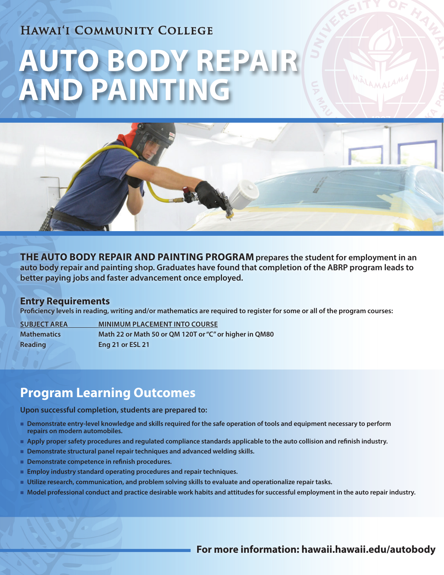## **Hawai'i Community College**

# **AUTO BODY REPAIR AND PAINTING**



**THE AUTO BODY REPAIR AND PAINTING PROGRAM prepares the student for employment in an auto body repair and painting shop. Graduates have found that completion of the ABRP program leads to better paying jobs and faster advancement once employed.**

#### **Entry Requirements**

**Proficiency levels in reading, writing and/or mathematics are required to register for some or all of the program courses:**

**SUBJECT AREA MINIMUM PLACEMENT INTO COURSE Mathematics Math 22 or Math 50 or QM 120T or "C" or higher in QM80 Reading Eng 21 or ESL 21** 

## **Program Learning Outcomes**

**Upon successful completion, students are prepared to:**

- n **Demonstrate entry-level knowledge and skills required for the safe operation of tools and equipment necessary to perform repairs on modern automobiles.**
- **Apply proper safety procedures and regulated compliance standards applicable to the auto collision and refinish industry.**
- **n** Demonstrate structural panel repair techniques and advanced welding skills.
- Demonstrate competence in refinish procedures.
- n **Employ industry standard operating procedures and repair techniques.**
- **Utilize research, communication, and problem solving skills to evaluate and operationalize repair tasks.**
- n **Model professional conduct and practice desirable work habits and attitudes for successful employment in the auto repair industry.**

**For more information: hawaii.hawaii.edu/autobody**